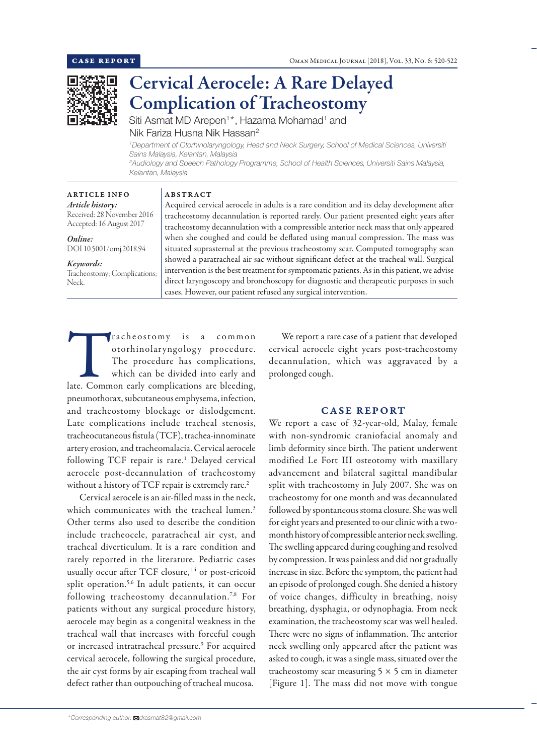We report a rare case of a patient that developed cervical aerocele eight years post-tracheostomy decannulation, which was aggravated by a

CASE REPORT We report a case of 32-year-old, Malay, female with non-syndromic craniofacial anomaly and limb deformity since birth. The patient underwent modified Le Fort III osteotomy with maxillary advancement and bilateral sagittal mandibular split with tracheostomy in July 2007. She was on tracheostomy for one month and was decannulated followed by spontaneous stoma closure. She was well for eight years and presented to our clinic with a twomonth history of compressible anterior neck swelling. The swelling appeared during coughing and resolved by compression. It was painless and did not gradually increase in size. Before the symptom, the patient had an episode of prolonged cough. She denied a history of voice changes, difficulty in breathing, noisy breathing, dysphagia, or odynophagia. From neck examination, the tracheostomy scar was well healed.



# Cervical Aerocele: A Rare Delayed Complication of Tracheostomy

Siti Asmat MD Arepen<sup>1</sup>\*, Hazama Mohamad<sup>1</sup> and Nik Fariza Husna Nik Hassan2

*1 Department of Otorhinolaryngology, Head and Neck Surgery, School of Medical Sciences, Universiti Sains Malaysia, Kelantan, Malaysia 2 Audiology and Speech Pathology Programme, School of Health Sciences, Universiti Sains Malaysia, Kelantan, Malaysia*

ARTICLE INFO *Article history:* Received: 28 November 2016 Accepted: 16 August 2017

# *Online:* DOI 10.5001/omj.2018.94

#### *Keywords:*

Tracheostomy; Complications; Neck.

### ABSTRACT

Acquired cervical aerocele in adults is a rare condition and its delay development after tracheostomy decannulation is reported rarely. Our patient presented eight years after tracheostomy decannulation with a compressible anterior neck mass that only appeared when she coughed and could be deflated using manual compression. The mass was situated suprasternal at the previous tracheostomy scar. Computed tomography scan showed a paratracheal air sac without significant defect at the tracheal wall. Surgical intervention is the best treatment for symptomatic patients. As in this patient, we advise direct laryngoscopy and bronchoscopy for diagnostic and therapeutic purposes in such cases. However, our patient refused any surgical intervention.

prolonged cough.

Tracheostomy is a common<br>otorhinolaryngology procedure.<br>The procedure has complications,<br>which can be divided into early and<br>late. Common early complications are bleeding, otorhinolaryngology procedure. The procedure has complications, which can be divided into early and pneumothorax, subcutaneous emphysema, infection, and tracheostomy blockage or dislodgement. Late complications include tracheal stenosis, tracheocutaneous fistula (TCF), trachea-innominate artery erosion, and tracheomalacia. Cervical aerocele following TCF repair is rare.<sup>1</sup> Delayed cervical aerocele post-decannulation of tracheostomy without a history of TCF repair is extremely rare.<sup>2</sup>

Cervical aerocele is an air-filled mass in the neck, which communicates with the tracheal lumen.<sup>3</sup> Other terms also used to describe the condition include tracheocele, paratracheal air cyst, and tracheal diverticulum. It is a rare condition and rarely reported in the literature. Pediatric cases usually occur after TCF closure,<sup>1,4</sup> or post-cricoid split operation.<sup>5,6</sup> In adult patients, it can occur following tracheostomy decannulation.<sup>7,8</sup> For patients without any surgical procedure history, aerocele may begin as a congenital weakness in the tracheal wall that increases with forceful cough or increased intratracheal pressure.<sup>9</sup> For acquired cervical aerocele, following the surgical procedure, the air cyst forms by air escaping from tracheal wall defect rather than outpouching of tracheal mucosa.

There were no signs of inflammation. The anterior

neck swelling only appeared after the patient was asked to cough, it was a single mass, situated over the tracheostomy scar measuring  $5 \times 5$  cm in diameter [Figure 1]. The mass did not move with tongue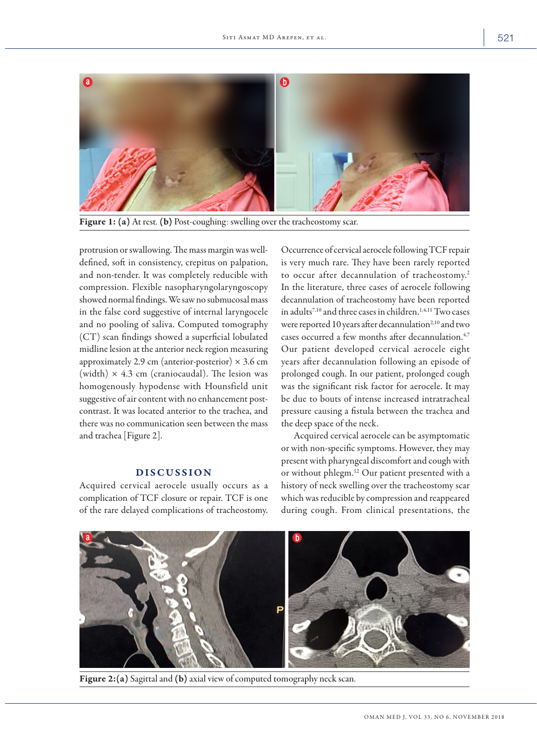

Figure 1: (a) At rest. (b) Post-coughing: swelling over the tracheostomy scar.

protrusion or swallowing. The mass margin was welldefined, soft in consistency, crepitus on palpation, and non-tender. It was completely reducible with compression. Flexible nasopharyngolaryngoscopy showed normal findings. We saw no submucosal mass in the false cord suggestive of internal laryngocele and no pooling of saliva. Computed tomography (CT) scan findings showed a superficial lobulated midline lesion at the anterior neck region measuring approximately 2.9 cm (anterior-posterior)  $\times$  3.6 cm (width)  $\times$  4.3 cm (craniocaudal). The lesion was homogenously hypodense with Hounsfield unit suggestive of air content with no enhancement postcontrast. It was located anterior to the trachea, and there was no communication seen between the mass and trachea [Figure 2].

# DISCUSSION

Acquired cervical aerocele usually occurs as a complication of TCF closure or repair. TCF is one of the rare delayed complications of tracheostomy. Occurrence of cervical aerocele following TCF repair is very much rare. They have been rarely reported to occur after decannulation of tracheostomy.<sup>2</sup> In the literature, three cases of aerocele following decannulation of tracheostomy have been reported in adults<sup>7,10</sup> and three cases in children.<sup>1,4,11</sup> Two cases were reported 10 years after decannulation<sup>2,10</sup> and two cases occurred a few months after decannulation.<sup>4,7</sup> Our patient developed cervical aerocele eight years after decannulation following an episode of prolonged cough. In our patient, prolonged cough was the significant risk factor for aerocele. It may be due to bouts of intense increased intratracheal pressure causing a fistula between the trachea and the deep space of the neck.

Acquired cervical aerocele can be asymptomatic or with non-specific symptoms. However, they may present with pharyngeal discomfort and cough with or without phlegm.12 Our patient presented with a history of neck swelling over the tracheostomy scar which was reducible by compression and reappeared during cough. From clinical presentations, the



Figure 2:(a) Sagittal and (b) axial view of computed tomography neck scan.